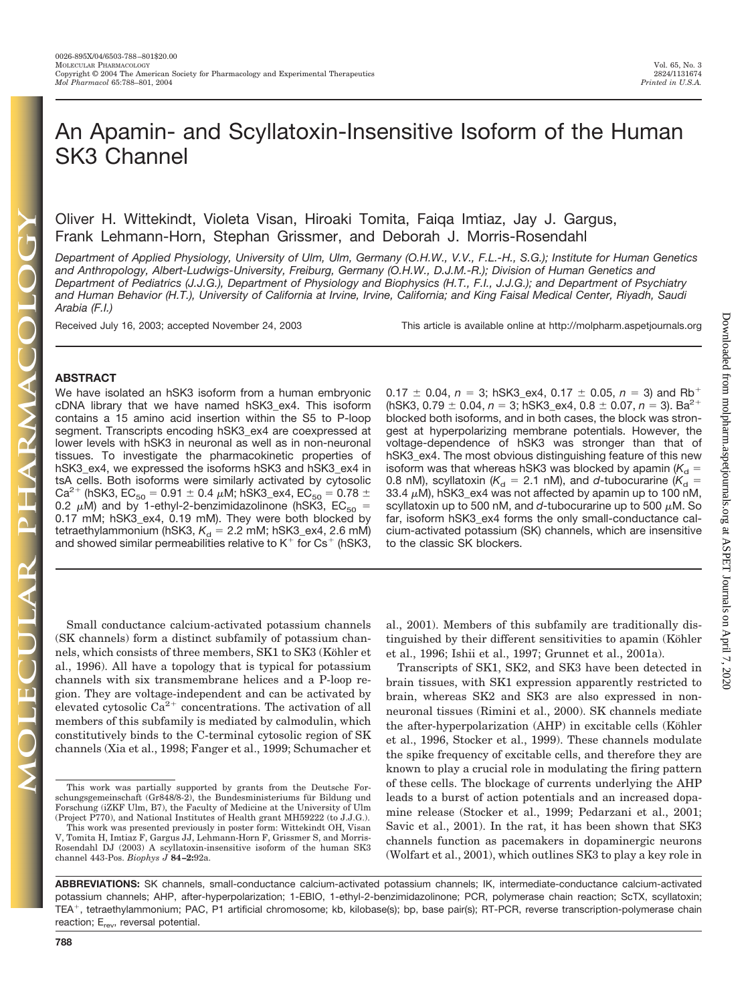Downloaded from molpharm.aspetjournals.org at ASPET Journals on April 7, 2020 Downloaded from [molpharm.aspetjournals.org](http://molpharm.aspetjournals.org/) at ASPET Journals on April 7, 2020

# An Apamin- and Scyllatoxin-Insensitive Isoform of the Human SK3 Channel

## Oliver H. Wittekindt, Violeta Visan, Hiroaki Tomita, Faiqa Imtiaz, Jay J. Gargus, Frank Lehmann-Horn, Stephan Grissmer, and Deborah J. Morris-Rosendahl

*Department of Applied Physiology, University of Ulm, Ulm, Germany (O.H.W., V.V., F.L.-H., S.G.); Institute for Human Genetics and Anthropology, Albert-Ludwigs-University, Freiburg, Germany (O.H.W., D.J.M.-R.); Division of Human Genetics and Department of Pediatrics (J.J.G.), Department of Physiology and Biophysics (H.T., F.I., J.J.G.); and Department of Psychiatry and Human Behavior (H.T.), University of California at Irvine, Irvine, California; and King Faisal Medical Center, Riyadh, Saudi Arabia (F.I.)*

Received July 16, 2003; accepted November 24, 2003 This article is available online at http://molpharm.aspetjournals.org

## **ABSTRACT**

We have isolated an hSK3 isoform from a human embryonic cDNA library that we have named hSK3\_ex4. This isoform contains a 15 amino acid insertion within the S5 to P-loop segment. Transcripts encoding hSK3\_ex4 are coexpressed at lower levels with hSK3 in neuronal as well as in non-neuronal tissues. To investigate the pharmacokinetic properties of hSK3\_ex4, we expressed the isoforms hSK3 and hSK3\_ex4 in tsA cells. Both isoforms were similarly activated by cytosolic Ca<sup>2+</sup> (hSK3, EC<sub>50</sub> = 0.91  $\pm$  0.4  $\mu$ M; hSK3\_ex4, EC<sub>50</sub> = 0.78  $\pm$ 0.2  $\mu$ M) and by 1-ethyl-2-benzimidazolinone (hSK3, EC<sub>50</sub> = 0.17 mM; hSK3\_ex4, 0.19 mM). They were both blocked by tetraethylammonium (hSK3, *K<sub>d</sub> = 2.2* mM; hSK3\_ex4, 2.6 mM) and showed similar permeabilities relative to  $K^+$  for  $Cs^+$  (hSK3,

 $0.17 \pm 0.04$ ,  $n = 3$ ; hSK3\_ex4,  $0.17 \pm 0.05$ ,  $n = 3$ ) and Rb<sup>+</sup>  $(hSK3, 0.79 \pm 0.04, n = 3; hSK3$ <sub>\_</sub>ex4,  $0.8 \pm 0.07, n = 3$ ). Ba<sup>2+</sup> blocked both isoforms, and in both cases, the block was strongest at hyperpolarizing membrane potentials. However, the voltage-dependence of hSK3 was stronger than that of hSK3\_ex4. The most obvious distinguishing feature of this new isoform was that whereas hSK3 was blocked by apamin ( $K_{\rm d}$  = 0.8 nM), scyllatoxin ( $K_{\rm d}$  = 2.1 nM), and *d*-tubocurarine ( $K_{\rm d}$  = 33.4  $\mu$ M), hSK3\_ex4 was not affected by apamin up to 100 nM, scyllatoxin up to 500 nM, and  $d$ -tubocurarine up to 500  $\mu$ M. So far, isoform hSK3\_ex4 forms the only small-conductance calcium-activated potassium (SK) channels, which are insensitive to the classic SK blockers.

Small conductance calcium-activated potassium channels (SK channels) form a distinct subfamily of potassium channels, which consists of three members, SK1 to SK3 (Köhler et al., 1996). All have a topology that is typical for potassium channels with six transmembrane helices and a P-loop region. They are voltage-independent and can be activated by elevated cytosolic  $Ca^{2+}$  concentrations. The activation of all members of this subfamily is mediated by calmodulin, which constitutively binds to the C-terminal cytosolic region of SK channels (Xia et al., 1998; Fanger et al., 1999; Schumacher et

This work was partially supported by grants from the Deutsche Forschungsgemeinschaft (Gr848/8-2), the Bundesministeriums für Bildung und Forschung (iZKF Ulm, B7), the Faculty of Medicine at the University of Ulm (Project P770), and National Institutes of Health grant MH59222 (to J.J.G.).

This work was presented previously in poster form: Wittekindt OH, Visan V, Tomita H, Imtiaz F, Gargus JJ, Lehmann-Horn F, Grissmer S, and Morris-Rosendahl DJ (2003) A scyllatoxin-insensitive isoform of the human SK3 channel 443-Pos. *Biophys J* **84–2:**92a.

al., 2001). Members of this subfamily are traditionally distinguished by their different sensitivities to apamin (Köhler et al., 1996; Ishii et al., 1997; Grunnet et al., 2001a).

Transcripts of SK1, SK2, and SK3 have been detected in brain tissues, with SK1 expression apparently restricted to brain, whereas SK2 and SK3 are also expressed in nonneuronal tissues (Rimini et al., 2000). SK channels mediate the after-hyperpolarization (AHP) in excitable cells (Köhler et al., 1996, Stocker et al., 1999). These channels modulate the spike frequency of excitable cells, and therefore they are known to play a crucial role in modulating the firing pattern of these cells. The blockage of currents underlying the AHP leads to a burst of action potentials and an increased dopamine release (Stocker et al., 1999; Pedarzani et al., 2001; Savic et al., 2001). In the rat, it has been shown that SK3 channels function as pacemakers in dopaminergic neurons (Wolfart et al., 2001), which outlines SK3 to play a key role in

**ABBREVIATIONS:** SK channels, small-conductance calcium-activated potassium channels; IK, intermediate-conductance calcium-activated potassium channels; AHP, after-hyperpolarization; 1-EBIO, 1-ethyl-2-benzimidazolinone; PCR, polymerase chain reaction; ScTX, scyllatoxin; TEA<sup>+</sup>, tetraethylammonium; PAC, P1 artificial chromosome; kb, kilobase(s); bp, base pair(s); RT-PCR, reverse transcription-polymerase chain reaction;  $E_{rev}$ , reversal potential.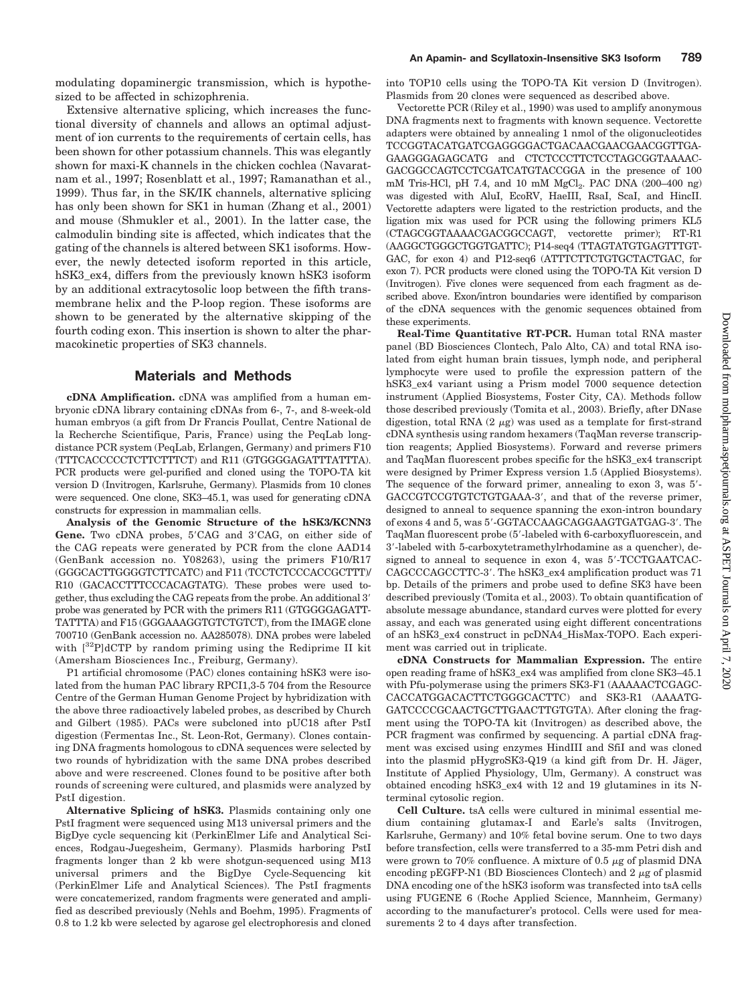modulating dopaminergic transmission, which is hypothesized to be affected in schizophrenia.

Extensive alternative splicing, which increases the functional diversity of channels and allows an optimal adjustment of ion currents to the requirements of certain cells, has been shown for other potassium channels. This was elegantly shown for maxi-K channels in the chicken cochlea (Navaratnam et al., 1997; Rosenblatt et al., 1997; Ramanathan et al., 1999). Thus far, in the SK/IK channels, alternative splicing has only been shown for SK1 in human (Zhang et al., 2001) and mouse (Shmukler et al., 2001). In the latter case, the calmodulin binding site is affected, which indicates that the gating of the channels is altered between SK1 isoforms. However, the newly detected isoform reported in this article, hSK3\_ex4, differs from the previously known hSK3 isoform by an additional extracytosolic loop between the fifth transmembrane helix and the P-loop region. These isoforms are shown to be generated by the alternative skipping of the fourth coding exon. This insertion is shown to alter the pharmacokinetic properties of SK3 channels.

#### **Materials and Methods**

**cDNA Amplification.** cDNA was amplified from a human embryonic cDNA library containing cDNAs from 6-, 7-, and 8-week-old human embryos (a gift from Dr Francis Poullat, Centre National de la Recherche Scientifique, Paris, France) using the PeqLab longdistance PCR system (PeqLab, Erlangen, Germany) and primers F10 (TTTCACCCCCTCTTCTTTCT) and R11 (GTGGGGAGATTTATTTA). PCR products were gel-purified and cloned using the TOPO-TA kit version D (Invitrogen, Karlsruhe, Germany). Plasmids from 10 clones were sequenced. One clone, SK3–45.1, was used for generating cDNA constructs for expression in mammalian cells.

**Analysis of the Genomic Structure of the hSK3/KCNN3** Gene. Two cDNA probes, 5'CAG and 3'CAG, on either side of the CAG repeats were generated by PCR from the clone AAD14 (GenBank accession no. Y08263), using the primers F10/R17 (GGGCACTTGGGGTCTTCATC) and F11 (TCCTCTCCCACCGCTTT)/ R10 (GACACCTTTCCCACAGTATG). These probes were used together, thus excluding the CAG repeats from the probe. An additional 3 probe was generated by PCR with the primers R11 (GTGGGGAGATT-TATTTA) and F15 (GGGAAAGGTGTCTGTCT), from the IMAGE clone 700710 (GenBank accession no. AA285078). DNA probes were labeled with  $[32P]$ dCTP by random priming using the Rediprime II kit (Amersham Biosciences Inc., Freiburg, Germany).

P1 artificial chromosome (PAC) clones containing hSK3 were isolated from the human PAC library RPCI1,3-5 704 from the Resource Centre of the German Human Genome Project by hybridization with the above three radioactively labeled probes, as described by Church and Gilbert (1985). PACs were subcloned into pUC18 after PstI digestion (Fermentas Inc., St. Leon-Rot, Germany). Clones containing DNA fragments homologous to cDNA sequences were selected by two rounds of hybridization with the same DNA probes described above and were rescreened. Clones found to be positive after both rounds of screening were cultured, and plasmids were analyzed by PstI digestion.

**Alternative Splicing of hSK3.** Plasmids containing only one PstI fragment were sequenced using M13 universal primers and the BigDye cycle sequencing kit (PerkinElmer Life and Analytical Sciences, Rodgau-Juegesheim, Germany). Plasmids harboring PstI fragments longer than 2 kb were shotgun-sequenced using M13 universal primers and the BigDye Cycle-Sequencing kit (PerkinElmer Life and Analytical Sciences). The PstI fragments were concatemerized, random fragments were generated and amplified as described previously (Nehls and Boehm, 1995). Fragments of 0.8 to 1.2 kb were selected by agarose gel electrophoresis and cloned

into TOP10 cells using the TOPO-TA Kit version D (Invitrogen). Plasmids from 20 clones were sequenced as described above.

Vectorette PCR (Riley et al., 1990) was used to amplify anonymous DNA fragments next to fragments with known sequence. Vectorette adapters were obtained by annealing 1 nmol of the oligonucleotides TCCGGTACATGATCGAGGGGACTGACAACGAACGAACGGTTGA-GAAGGGAGAGCATG and CTCTCCCTTCTCCTAGCGGTAAAAC-GACGGCCAGTCCTCGATCATGTACCGGA in the presence of 100 mM Tris-HCl, pH 7.4, and 10 mM  $MgCl<sub>2</sub>$ . PAC DNA (200–400 ng) was digested with AluI, EcoRV, HaeIII, RsaI, ScaI, and HincII. Vectorette adapters were ligated to the restriction products, and the ligation mix was used for PCR using the following primers KL5 (CTAGCGGTAAAACGACGGCCAGT, vectorette primer); RT-R1 (AAGGCTGGGCTGGTGATTC); P14-seq4 (TTAGTATGTGAGTTTGT-GAC, for exon 4) and P12-seq6 (ATTTCTTCTGTGCTACTGAC, for exon 7). PCR products were cloned using the TOPO-TA Kit version D (Invitrogen). Five clones were sequenced from each fragment as described above. Exon/intron boundaries were identified by comparison of the cDNA sequences with the genomic sequences obtained from these experiments.

**Real-Time Quantitative RT-PCR.** Human total RNA master panel (BD Biosciences Clontech, Palo Alto, CA) and total RNA isolated from eight human brain tissues, lymph node, and peripheral lymphocyte were used to profile the expression pattern of the hSK3\_ex4 variant using a Prism model 7000 sequence detection instrument (Applied Biosystems, Foster City, CA). Methods follow those described previously (Tomita et al., 2003). Briefly, after DNase digestion, total RNA  $(2 \mu g)$  was used as a template for first-strand cDNA synthesis using random hexamers (TaqMan reverse transcription reagents; Applied Biosystems). Forward and reverse primers and TaqMan fluorescent probes specific for the hSK3\_ex4 transcript were designed by Primer Express version 1.5 (Applied Biosystems). The sequence of the forward primer, annealing to exon 3, was  $5'$ -GACCGTCCGTGTCTGTGAAA-3, and that of the reverse primer, designed to anneal to sequence spanning the exon-intron boundary of exons 4 and 5, was 5-GGTACCAAGCAGGAAGTGATGAG-3. The TaqMan fluorescent probe (5-labeled with 6-carboxyfluorescein, and 3-labeled with 5-carboxytetramethylrhodamine as a quencher), designed to anneal to sequence in exon 4, was 5'-TCCTGAATCAC-CAGCCCAGCCTTC-3'. The hSK3\_ex4 amplification product was 71 bp. Details of the primers and probe used to define SK3 have been described previously (Tomita et al., 2003). To obtain quantification of absolute message abundance, standard curves were plotted for every assay, and each was generated using eight different concentrations of an hSK3\_ex4 construct in pcDNA4\_HisMax-TOPO. Each experiment was carried out in triplicate.

**cDNA Constructs for Mammalian Expression.** The entire open reading frame of hSK3\_ex4 was amplified from clone SK3–45.1 with Pfu-polymerase using the primers SK3-F1 (AAAAACTCGAGC-CACCATGGACACTTCTGGGCACTTC) and SK3-R1 (AAAATG-GATCCCCGCAACTGCTTGAACTTGTGTA). After cloning the fragment using the TOPO-TA kit (Invitrogen) as described above, the PCR fragment was confirmed by sequencing. A partial cDNA fragment was excised using enzymes HindIII and SfiI and was cloned into the plasmid pHygroSK3-Q19 (a kind gift from Dr. H. Jäger, Institute of Applied Physiology, Ulm, Germany). A construct was obtained encoding hSK3\_ex4 with 12 and 19 glutamines in its Nterminal cytosolic region.

**Cell Culture.** tsA cells were cultured in minimal essential medium containing glutamax-I and Earle's salts (Invitrogen, Karlsruhe, Germany) and 10% fetal bovine serum. One to two days before transfection, cells were transferred to a 35-mm Petri dish and were grown to 70% confluence. A mixture of 0.5  $\mu$ g of plasmid DNA encoding pEGFP-N1 (BD Biosciences Clontech) and  $2 \mu$ g of plasmid DNA encoding one of the hSK3 isoform was transfected into tsA cells using FUGENE 6 (Roche Applied Science, Mannheim, Germany) according to the manufacturer's protocol. Cells were used for measurements 2 to 4 days after transfection.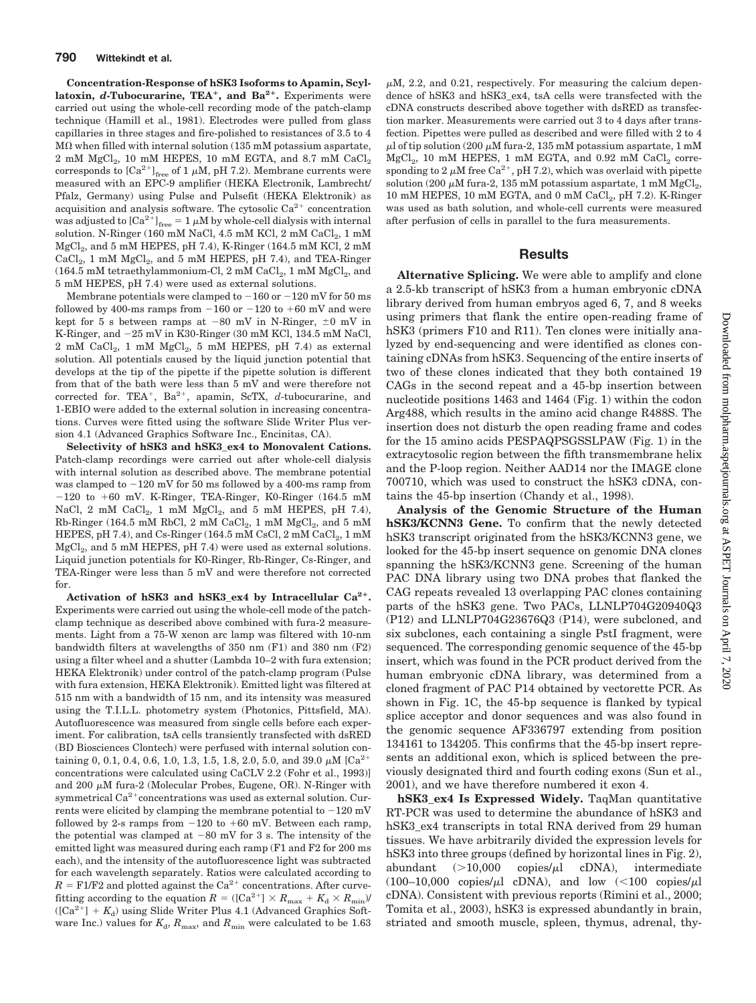**Concentration-Response of hSK3 Isoforms to Apamin, Scyllatoxin,** *d***-Tubocurarine, TEA, and Ba2.** Experiments were carried out using the whole-cell recording mode of the patch-clamp technique (Hamill et al., 1981). Electrodes were pulled from glass capillaries in three stages and fire-polished to resistances of 3.5 to 4  $M\Omega$  when filled with internal solution (135 mM potassium aspartate,  $2 \text{ mM } MgCl<sub>2</sub>$ , 10 mM HEPES, 10 mM EGTA, and 8.7 mM CaCl<sub>2</sub> corresponds to  $\left[\text{Ca}^{2+}\right]_{\text{free}}$  of 1  $\mu$ M, pH 7.2). Membrane currents were measured with an EPC-9 amplifier (HEKA Electronik, Lambrecht/ Pfalz, Germany) using Pulse and Pulsefit (HEKA Elektronik) as acquisition and analysis software. The cytosolic  $Ca^{2+}$  concentration was adjusted to  ${\rm [Ca^{2+}]_{free}} = 1~\mu{\rm M}$  by whole-cell dialysis with internal solution. N-Ringer (160 mM NaCl, 4.5 mM KCl, 2 mM  $CaCl<sub>2</sub>$ , 1 mM MgCl<sub>2</sub>, and 5 mM HEPES, pH 7.4), K-Ringer (164.5 mM KCl, 2 mM  $CaCl<sub>2</sub>$ , 1 mM  $MgCl<sub>2</sub>$ , and 5 mM HEPES, pH 7.4), and TEA-Ringer (164.5 mM tetraethylammonium-Cl, 2 mM  $CaCl<sub>2</sub>$ , 1 mM  $MgCl<sub>2</sub>$ , and 5 mM HEPES, pH 7.4) were used as external solutions.

Membrane potentials were clamped to  $-160$  or  $-120$  mV for 50 ms followed by 400-ms ramps from  $-160$  or  $-120$  to  $+60$  mV and were kept for 5 s between ramps at  $-80$  mV in N-Ringer,  $\pm 0$  mV in K-Ringer, and 25 mV in K30-Ringer (30 mM KCl, 134.5 mM NaCl,  $2 \text{ mM } \text{CaCl}_2$ ,  $1 \text{ mM } \text{MgCl}_2$ ,  $5 \text{ mM } \text{HEPES}$ ,  $pH 7.4$ ) as external solution. All potentials caused by the liquid junction potential that develops at the tip of the pipette if the pipette solution is different from that of the bath were less than 5 mV and were therefore not corrected for. TEA<sup>+</sup>, Ba<sup>2+</sup>, apamin, ScTX, d-tubocurarine, and 1-EBIO were added to the external solution in increasing concentrations. Curves were fitted using the software Slide Writer Plus version 4.1 (Advanced Graphics Software Inc., Encinitas, CA).

**Selectivity of hSK3 and hSK3\_ex4 to Monovalent Cations.** Patch-clamp recordings were carried out after whole-cell dialysis with internal solution as described above. The membrane potential was clamped to  $-120$  mV for 50 ms followed by a 400-ms ramp from  $-120$  to  $+60$  mV. K-Ringer, TEA-Ringer, K0-Ringer (164.5 mM NaCl, 2 mM CaCl<sub>2</sub>, 1 mM MgCl<sub>2</sub>, and 5 mM HEPES, pH 7.4), Rb-Ringer (164.5 mM RbCl, 2 mM  $CaCl<sub>2</sub>$ , 1 mM  $MgCl<sub>2</sub>$ , and 5 mM HEPES, pH 7.4), and Cs-Ringer (164.5 mM CsCl,  $2$  mM CaCl<sub>2</sub>,  $1$  mM  $MgCl<sub>2</sub>$ , and 5 mM HEPES, pH 7.4) were used as external solutions. Liquid junction potentials for K0-Ringer, Rb-Ringer, Cs-Ringer, and TEA-Ringer were less than 5 mV and were therefore not corrected for.

**Activation of hSK3 and hSK3\_ex4 by Intracellular Ca2.** Experiments were carried out using the whole-cell mode of the patchclamp technique as described above combined with fura-2 measurements. Light from a 75-W xenon arc lamp was filtered with 10-nm bandwidth filters at wavelengths of 350 nm (F1) and 380 nm (F2) using a filter wheel and a shutter (Lambda 10–2 with fura extension; HEKA Elektronik) under control of the patch-clamp program (Pulse with fura extension, HEKA Elektronik). Emitted light was filtered at 515 nm with a bandwidth of 15 nm, and its intensity was measured using the T.I.L.L. photometry system (Photonics, Pittsfield, MA). Autofluorescence was measured from single cells before each experiment. For calibration, tsA cells transiently transfected with dsRED (BD Biosciences Clontech) were perfused with internal solution containing 0, 0.1, 0.4, 0.6, 1.0, 1.3, 1.5, 1.8, 2.0, 5.0, and 39.0  $\mu$ M [Ca<sup>2+</sup> concentrations were calculated using CaCLV 2.2 (Fohr et al., 1993)] and 200  $\mu$ M fura-2 (Molecular Probes, Eugene, OR). N-Ringer with symmetrical  $Ca^{2+}$ concentrations was used as external solution. Currents were elicited by clamping the membrane potential to  $-120$  mV followed by 2-s ramps from  $-120$  to  $+60$  mV. Between each ramp, the potential was clamped at  $-80$  mV for 3 s. The intensity of the emitted light was measured during each ramp (F1 and F2 for 200 ms each), and the intensity of the autofluorescence light was subtracted for each wavelength separately. Ratios were calculated according to  $R =$  F1/F2 and plotted against the Ca<sup>2+</sup> concentrations. After curvefitting according to the equation  $R = ([Ca^{2+}] \times R_{max} + K_d \times R_{min})/R$  $({[Ca^{2+}}] + K_d)$  using Slide Writer Plus 4.1 (Advanced Graphics Software Inc.) values for  $K_{\rm d}$ ,  $R_{\rm max}$ , and  $R_{\rm min}$  were calculated to be 1.63

 $\mu$ M, 2.2, and 0.21, respectively. For measuring the calcium dependence of hSK3 and hSK3\_ex4, tsA cells were transfected with the cDNA constructs described above together with dsRED as transfection marker. Measurements were carried out 3 to 4 days after transfection. Pipettes were pulled as described and were filled with 2 to 4 ul of tip solution (200  $\mu$ M fura-2, 135 mM potassium aspartate, 1 mM  $MgCl<sub>2</sub>$ , 10 mM HEPES, 1 mM EGTA, and 0.92 mM CaCl<sub>2</sub> corresponding to 2  $\mu$ M free Ca<sup>2+</sup>, pH 7.2), which was overlaid with pipette solution (200  $\mu$ M fura-2, 135 mM potassium aspartate, 1 mM MgCl<sub>2</sub>, 10 mM HEPES, 10 mM EGTA, and 0 mM  $\rm CaCl_2$ , pH 7.2). K-Ringer was used as bath solution, and whole-cell currents were measured after perfusion of cells in parallel to the fura measurements.

#### **Results**

**Alternative Splicing.** We were able to amplify and clone a 2.5-kb transcript of hSK3 from a human embryonic cDNA library derived from human embryos aged 6, 7, and 8 weeks using primers that flank the entire open-reading frame of hSK3 (primers F10 and R11). Ten clones were initially analyzed by end-sequencing and were identified as clones containing cDNAs from hSK3. Sequencing of the entire inserts of two of these clones indicated that they both contained 19 CAGs in the second repeat and a 45-bp insertion between nucleotide positions 1463 and 1464 (Fig. 1) within the codon Arg488, which results in the amino acid change R488S. The insertion does not disturb the open reading frame and codes for the 15 amino acids PESPAQPSGSSLPAW (Fig. 1) in the extracytosolic region between the fifth transmembrane helix and the P-loop region. Neither AAD14 nor the IMAGE clone 700710, which was used to construct the hSK3 cDNA, contains the 45-bp insertion (Chandy et al., 1998).

**Analysis of the Genomic Structure of the Human hSK3/KCNN3 Gene.** To confirm that the newly detected hSK3 transcript originated from the hSK3/KCNN3 gene, we looked for the 45-bp insert sequence on genomic DNA clones spanning the hSK3/KCNN3 gene. Screening of the human PAC DNA library using two DNA probes that flanked the CAG repeats revealed 13 overlapping PAC clones containing parts of the hSK3 gene. Two PACs, LLNLP704G20940Q3 (P12) and LLNLP704G23676Q3 (P14), were subcloned, and six subclones, each containing a single PstI fragment, were sequenced. The corresponding genomic sequence of the 45-bp insert, which was found in the PCR product derived from the human embryonic cDNA library, was determined from a cloned fragment of PAC P14 obtained by vectorette PCR. As shown in Fig. 1C, the 45-bp sequence is flanked by typical splice acceptor and donor sequences and was also found in the genomic sequence AF336797 extending from position 134161 to 134205. This confirms that the 45-bp insert represents an additional exon, which is spliced between the previously designated third and fourth coding exons (Sun et al., 2001), and we have therefore numbered it exon 4.

**hSK3** ex4 Is Expressed Widely. TaqMan quantitative RT-PCR was used to determine the abundance of hSK3 and hSK3\_ex4 transcripts in total RNA derived from 29 human tissues. We have arbitrarily divided the expression levels for hSK3 into three groups (defined by horizontal lines in Fig. 2), abundant  $(>10,000$  copies/ $\mu$ l cDNA), intermediate (100–10,000 copies/ $\mu$ l cDNA), and low (<100 copies/ $\mu$ l cDNA). Consistent with previous reports (Rimini et al., 2000; Tomita et al., 2003), hSK3 is expressed abundantly in brain, striated and smooth muscle, spleen, thymus, adrenal, thy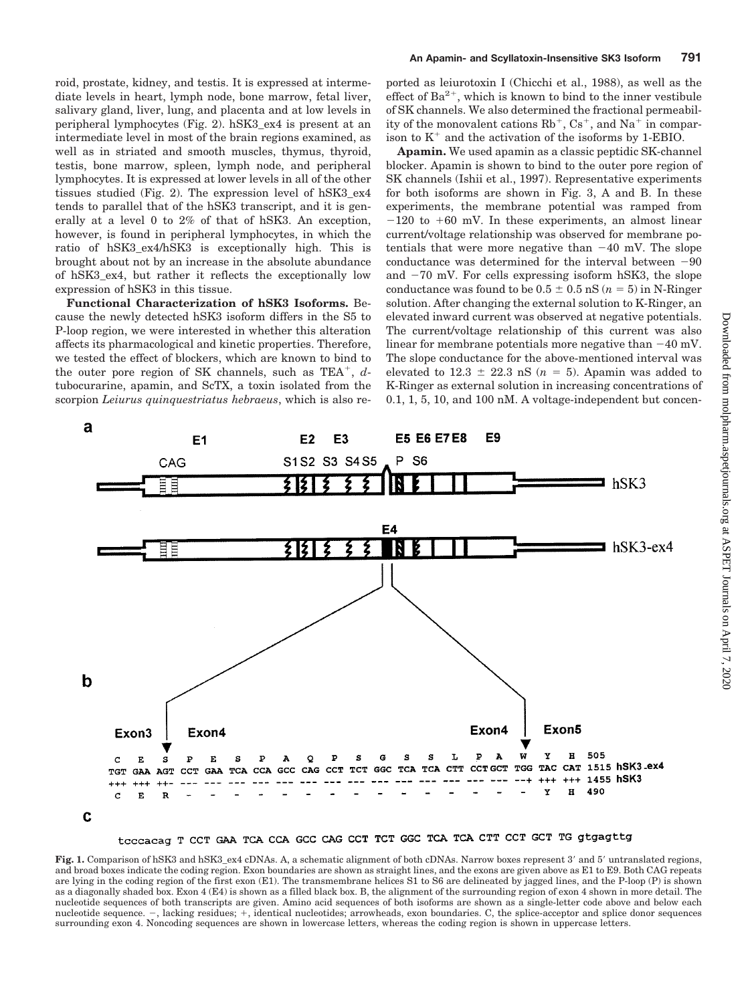roid, prostate, kidney, and testis. It is expressed at intermediate levels in heart, lymph node, bone marrow, fetal liver, salivary gland, liver, lung, and placenta and at low levels in peripheral lymphocytes (Fig. 2). hSK3\_ex4 is present at an intermediate level in most of the brain regions examined, as well as in striated and smooth muscles, thymus, thyroid, testis, bone marrow, spleen, lymph node, and peripheral lymphocytes. It is expressed at lower levels in all of the other tissues studied (Fig. 2). The expression level of hSK3\_ex4 tends to parallel that of the hSK3 transcript, and it is generally at a level 0 to 2% of that of hSK3. An exception, however, is found in peripheral lymphocytes, in which the ratio of hSK3\_ex4/hSK3 is exceptionally high. This is brought about not by an increase in the absolute abundance of hSK3\_ex4, but rather it reflects the exceptionally low expression of hSK3 in this tissue.

**Functional Characterization of hSK3 Isoforms.** Because the newly detected hSK3 isoform differs in the S5 to P-loop region, we were interested in whether this alteration affects its pharmacological and kinetic properties. Therefore, we tested the effect of blockers, which are known to bind to the outer pore region of SK channels, such as TEA<sup>+</sup>, dtubocurarine, apamin, and ScTX, a toxin isolated from the scorpion *Leiurus quinquestriatus hebraeus*, which is also re-

ported as leiurotoxin I (Chicchi et al., 1988), as well as the effect of  $Ba^{2+}$ , which is known to bind to the inner vestibule of SK channels. We also determined the fractional permeability of the monovalent cations  $Rb^+$ ,  $Cs^+$ , and  $Na^+$  in comparison to  $K^+$  and the activation of the isoforms by 1-EBIO.

**Apamin.** We used apamin as a classic peptidic SK-channel blocker. Apamin is shown to bind to the outer pore region of SK channels (Ishii et al., 1997). Representative experiments for both isoforms are shown in Fig. 3, A and B. In these experiments, the membrane potential was ramped from  $-120$  to  $+60$  mV. In these experiments, an almost linear current/voltage relationship was observed for membrane potentials that were more negative than  $-40$  mV. The slope conductance was determined for the interval between  $-90$ and  $-70$  mV. For cells expressing isoform hSK3, the slope conductance was found to be  $0.5 \pm 0.5$  nS  $(n = 5)$  in N-Ringer solution. After changing the external solution to K-Ringer, an elevated inward current was observed at negative potentials. The current/voltage relationship of this current was also linear for membrane potentials more negative than  $-40$  mV. The slope conductance for the above-mentioned interval was elevated to  $12.3 \pm 22.3$  nS ( $n = 5$ ). Apamin was added to K-Ringer as external solution in increasing concentrations of 0.1, 1, 5, 10, and 100 nM. A voltage-independent but concen-



Fig. 1. Comparison of hSK3 and hSK3\_ex4 cDNAs. A, a schematic alignment of both cDNAs. Narrow boxes represent 3' and 5' untranslated regions, and broad boxes indicate the coding region. Exon boundaries are shown as straight lines, and the exons are given above as E1 to E9. Both CAG repeats are lying in the coding region of the first exon (E1). The transmembrane helices S1 to S6 are delineated by jagged lines, and the P-loop (P) is shown as a diagonally shaded box. Exon 4 (E4) is shown as a filled black box. B, the alignment of the surrounding region of exon 4 shown in more detail. The nucleotide sequences of both transcripts are given. Amino acid sequences of both isoforms are shown as a single-letter code above and below each nucleotide sequence. -, lacking residues; +, identical nucleotides; arrowheads, exon boundaries. C, the splice-acceptor and splice donor sequences surrounding exon 4. Noncoding sequences are shown in lowercase letters, whereas the coding region is shown in uppercase letters.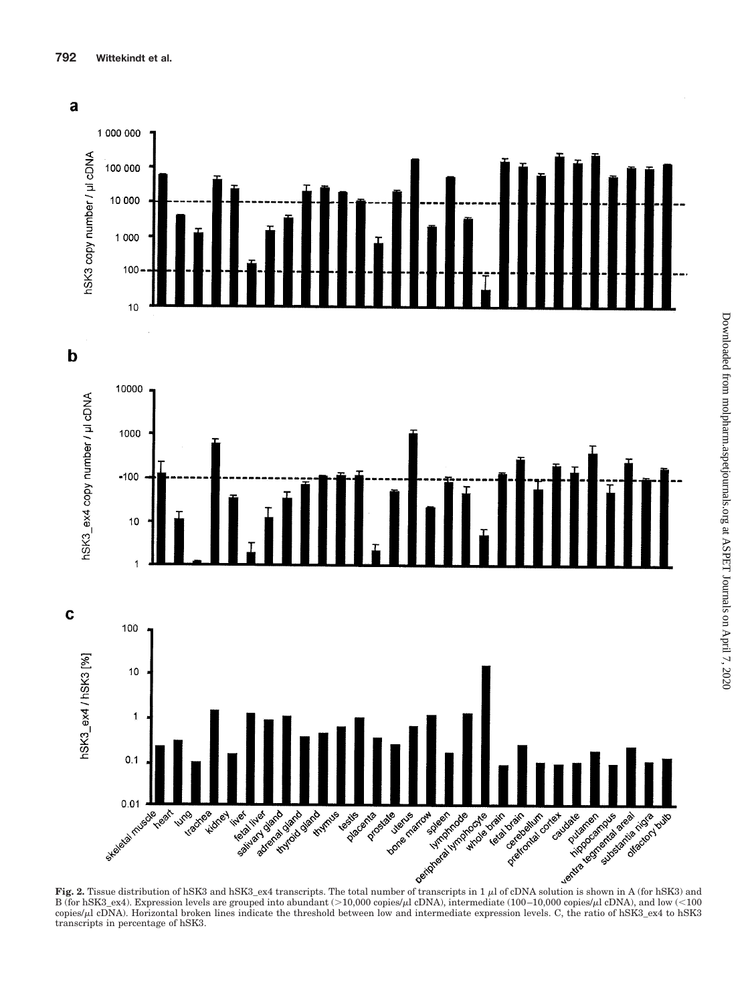

**Fig. 2.** Tissue distribution of hSK3 and hSK3\_ex4 transcripts. The total number of transcripts in 1  $\mu$  of cDNA solution is shown in A (for hSK3) and B (for hSK3\_ex4). Expression levels are grouped into abundant  $(>10,000$  copies/ $\mu$ l cDNA), intermediate (100–10,000 copies/ $\mu$ l cDNA), and low  $(<100$ copies/ $\mu$ l cDNA). Horizontal broken lines indicate the threshold between low and intermediate expression levels. C, the ratio of hSK3\_ex4 to hSK3 transcripts in percentage of hSK3.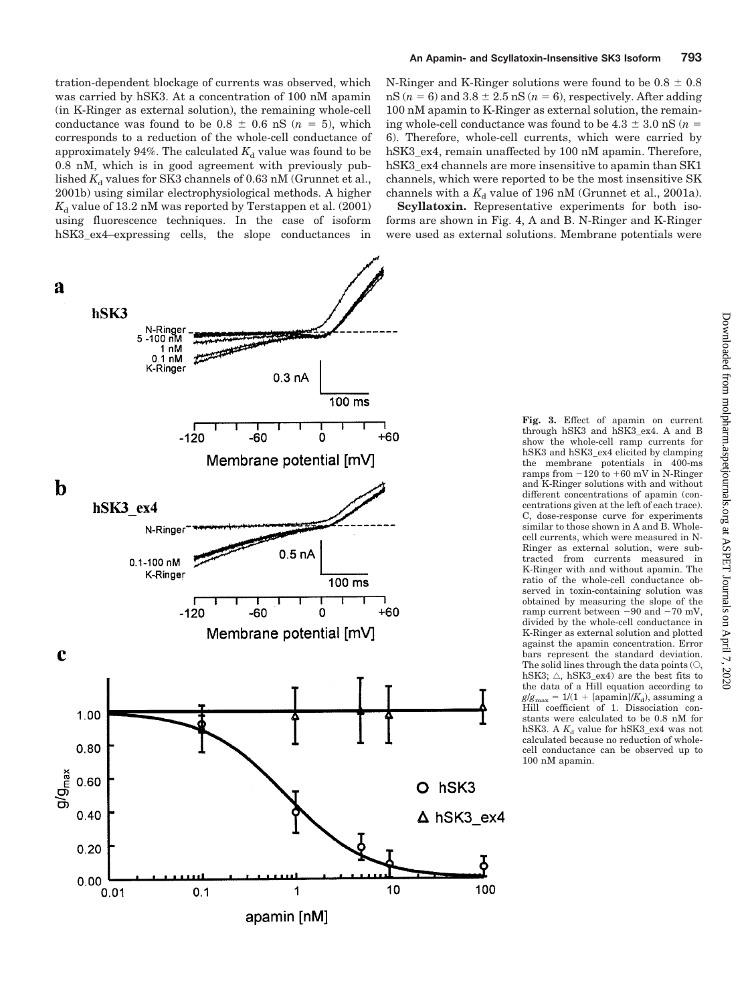tration-dependent blockage of currents was observed, which was carried by hSK3. At a concentration of 100 nM apamin (in K-Ringer as external solution), the remaining whole-cell conductance was found to be  $0.8 \pm 0.6$  nS ( $n = 5$ ), which corresponds to a reduction of the whole-cell conductance of approximately 94%. The calculated  $K_d$  value was found to be 0.8 nM, which is in good agreement with previously published  $K_d$  values for SK3 channels of 0.63 nM (Grunnet et al., 2001b) using similar electrophysiological methods. A higher  $K<sub>d</sub>$  value of 13.2 nM was reported by Terstappen et al. (2001) using fluorescence techniques. In the case of isoform hSK3\_ex4–expressing cells, the slope conductances in

## **An Apamin- and Scyllatoxin-Insensitive SK3 Isoform 793**

N-Ringer and K-Ringer solutions were found to be  $0.8 \pm 0.8$  $nS(n = 6)$  and  $3.8 \pm 2.5$   $nS(n = 6)$ , respectively. After adding 100 nM apamin to K-Ringer as external solution, the remaining whole-cell conductance was found to be 4.3  $\pm$  3.0 nS ( $n=$ 6). Therefore, whole-cell currents, which were carried by hSK3 ex4, remain unaffected by 100 nM apamin. Therefore, hSK3\_ex4 channels are more insensitive to apamin than SK1 channels, which were reported to be the most insensitive SK channels with a  $K_d$  value of 196 nM (Grunnet et al., 2001a).

**Scyllatoxin.** Representative experiments for both isoforms are shown in Fig. 4, A and B. N-Ringer and K-Ringer were used as external solutions. Membrane potentials were



**Fig. 3.** Effect of apamin on current through hSK3 and hSK3\_ex4. A and B show the whole-cell ramp currents for hSK3 and hSK3\_ex4 elicited by clamping the membrane potentials in 400-ms ramps from  $-120$  to  $+60$  mV in N-Ringer and K-Ringer solutions with and without different concentrations of apamin (concentrations given at the left of each trace). C, dose-response curve for experiments similar to those shown in A and B. Wholecell currents, which were measured in N-Ringer as external solution, were subtracted from currents measured in K-Ringer with and without apamin. The ratio of the whole-cell conductance observed in toxin-containing solution was obtained by measuring the slope of the ramp current between  $-90$  and  $-70$  mV, divided by the whole-cell conductance in K-Ringer as external solution and plotted against the apamin concentration. Error bars represent the standard deviation. The solid lines through the data points  $(\bigcirc,$ hSK3;  $\triangle$ , hSK3\_ex4) are the best fits to the data of a Hill equation according to  $g/g_{\text{max}} = 1/(1 + [\text{apamin}]/K_d)$ , assuming a<br>Hill coefficient of 1. Dissociation constants were calculated to be 0.8 nM for hSK3. A  $K_d$  value for hSK3\_ex4 was not calculated because no reduction of wholecell conductance can be observed up to 100 nM apamin.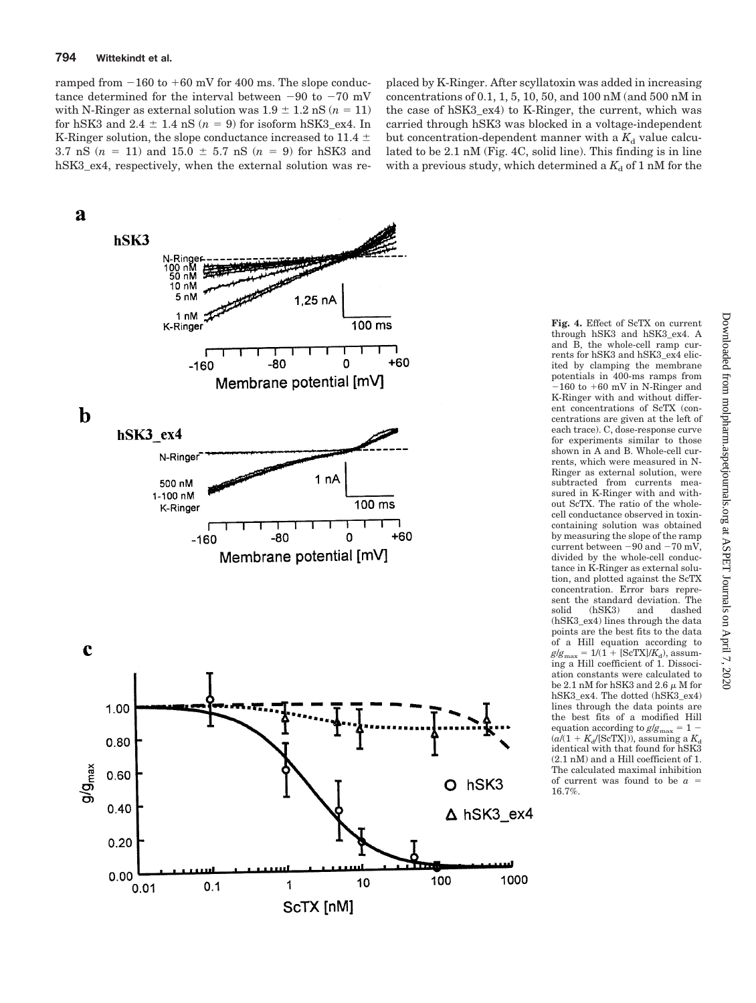ramped from  $-160$  to  $+60$  mV for 400 ms. The slope conductance determined for the interval between  $-90$  to  $-70$  mV with N-Ringer as external solution was  $1.9 \pm 1.2$  nS ( $n = 11$ ) for hSK3 and  $2.4 \pm 1.4$  nS  $(n = 9)$  for isoform hSK3\_ex4. In K-Ringer solution, the slope conductance increased to 11.4  $\pm$  $3.7 \text{ nS}$   $(n = 11)$  and  $15.0 \pm 5.7 \text{ nS}$   $(n = 9)$  for hSK3 and hSK3\_ex4, respectively, when the external solution was replaced by K-Ringer. After scyllatoxin was added in increasing concentrations of 0.1, 1, 5, 10, 50, and 100 nM (and 500 nM in the case of hSK3\_ex4) to K-Ringer, the current, which was carried through hSK3 was blocked in a voltage-independent but concentration-dependent manner with a  $K_d$  value calculated to be 2.1 nM (Fig. 4C, solid line). This finding is in line with a previous study, which determined a  $K_d$  of 1 nM for the



**Fig. 4.** Effect of ScTX on current through hSK3 and hSK3\_ex4. A and B, the whole-cell ramp currents for hSK3 and hSK3\_ex4 elicited by clamping the membrane potentials in 400-ms ramps from  $-160$  to  $+60$  mV in N-Ringer and K-Ringer with and without different concentrations of ScTX (concentrations are given at the left of each trace). C, dose-response curve for experiments similar to those shown in A and B. Whole-cell currents, which were measured in N-Ringer as external solution, were subtracted from currents measured in K-Ringer with and without ScTX. The ratio of the wholecell conductance observed in toxincontaining solution was obtained by measuring the slope of the ramp current between  $-90$  and  $-70$  mV, divided by the whole-cell conductance in K-Ringer as external solution, and plotted against the ScTX concentration. Error bars represent the standard deviation. The solid (hSK3) and dashed (hSK3\_ex4) lines through the data points are the best fits to the data of a Hill equation according to  $g/g_{\text{max}} = 1/(1 + [\text{ScTX}]/K_d)$ , assuming a Hill coefficient of 1. Dissociation constants were calculated to be 2.1 nM for hSK3 and 2.6  $\mu$  M for hSK3\_ex4. The dotted (hSK3\_ex4) lines through the data points are the best fits of a modified Hill  $\text{equation according to } g/g_{\text{max}} = 1 (a/(1 + K_d / [ScTX]))$ , assuming a  $K_d$ identical with that found for hSK3 (2.1 nM) and a Hill coefficient of 1. The calculated maximal inhibition of current was found to be *a* -

16.7%.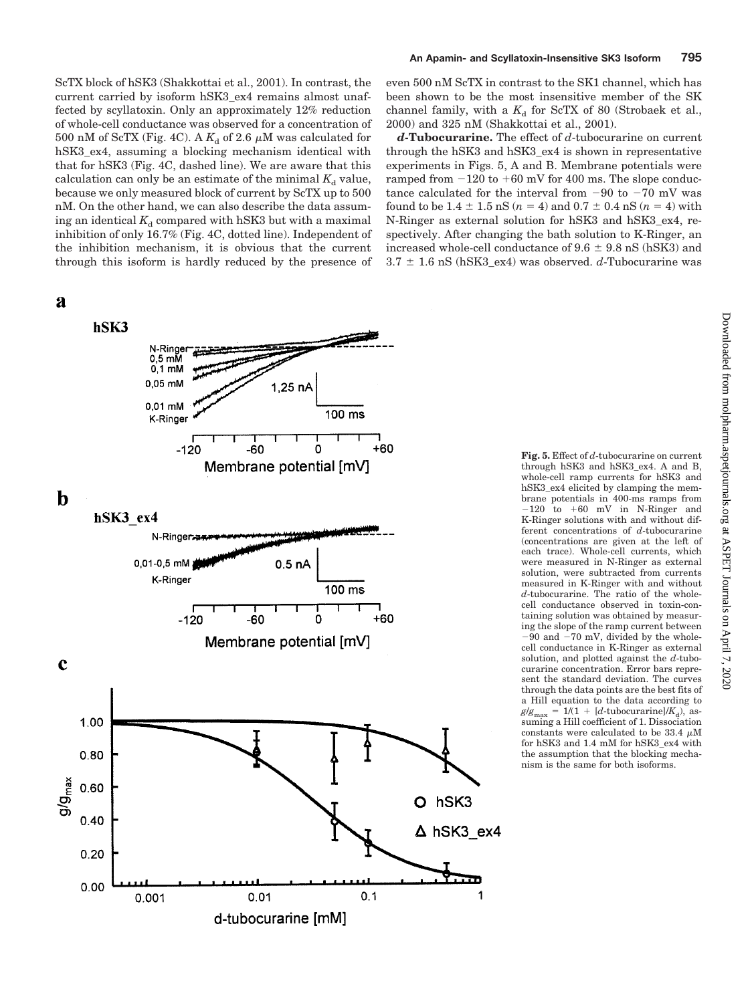ScTX block of hSK3 (Shakkottai et al., 2001). In contrast, the current carried by isoform hSK3\_ex4 remains almost unaffected by scyllatoxin. Only an approximately 12% reduction of whole-cell conductance was observed for a concentration of 500 nM of ScTX (Fig. 4C). A  $K_d$  of 2.6  $\mu$ M was calculated for hSK3\_ex4, assuming a blocking mechanism identical with that for hSK3 (Fig. 4C, dashed line). We are aware that this calculation can only be an estimate of the minimal  $K_d$  value, because we only measured block of current by ScTX up to 500 nM. On the other hand, we can also describe the data assuming an identical  $K_d$  compared with hSK3 but with a maximal inhibition of only 16.7% (Fig. 4C, dotted line). Independent of the inhibition mechanism, it is obvious that the current through this isoform is hardly reduced by the presence of

### $\mathbf a$

hSK3 N-Ringer  $0,5$  mM  $0,1$  mM 0,05 mM  $1.25<sub>nA</sub>$  $0.01$  mM 100 ms K-Ringer  $+60$  $-120$ -60 n Membrane potential [mV]  $\mathbf b$  $hSK3ex4$ N-Ringer<sub>r</sub> 0,01-0,5 mM  $0.5<sub>nA</sub>$ K-Ringer 100 ms  $-120$  $-60$  $\mathbf 0$  $+60$ Membrane potential [mV]  $\mathbf c$ 1.00  $0.80$  $9/9$ <sub>max</sub> 0.60 O hSK3  $0.40$  $\Delta$  hSK3\_ex4  $0.20$  $0.00$  $0.01$  $0.1$ 1 0.001 d-tubocurarine [mM]

**Fig. 5.** Effect of *d*-tubocurarine on current through hSK3 and hSK3\_ex4. A and B, whole-cell ramp currents for hSK3 and hSK3\_ex4 elicited by clamping the membrane potentials in 400-ms ramps from  $-120$  to  $+60$  mV in N-Ringer and K-Ringer solutions with and without different concentrations of *d*-tubocurarine (concentrations are given at the left of each trace). Whole-cell currents, which were measured in N-Ringer as external solution, were subtracted from currents measured in K-Ringer with and without *d*-tubocurarine. The ratio of the wholecell conductance observed in toxin-containing solution was obtained by measuring the slope of the ramp current between  $-90$  and  $-70$  mV, divided by the wholecell conductance in K-Ringer as external solution, and plotted against the *d*-tubocurarine concentration. Error bars represent the standard deviation. The curves through the data points are the best fits of a Hill equation to the data according to  $g/g_{\text{max}} = 1/(1 + [d\text{-tubocurarine}]/K_d)$ , assuming a Hill coefficient of 1. Dissociation constants were calculated to be 33.4  $\mu \rm{M}$ for hSK3 and 1.4 mM for hSK3\_ex4 with the assumption that the blocking mechanism is the same for both isoforms.

even 500 nM ScTX in contrast to the SK1 channel, which has been shown to be the most insensitive member of the SK channel family, with a  $K_d$  for ScTX of 80 (Strobaek et al., 2000) and 325 nM (Shakkottai et al., 2001).

*d***-Tubocurarine.** The effect of *d*-tubocurarine on current through the hSK3 and hSK3\_ex4 is shown in representative experiments in Figs. 5, A and B. Membrane potentials were ramped from  $-120$  to  $+60$  mV for 400 ms. The slope conductance calculated for the interval from  $-90$  to  $-70$  mV was found to be  $1.4 \pm 1.5$  nS ( $n = 4$ ) and  $0.7 \pm 0.4$  nS ( $n = 4$ ) with N-Ringer as external solution for hSK3 and hSK3\_ex4, respectively. After changing the bath solution to K-Ringer, an increased whole-cell conductance of  $9.6 \pm 9.8$  nS (hSK3) and  $3.7 \pm 1.6$  nS (hSK3\_ex4) was observed. *d*-Tubocurarine was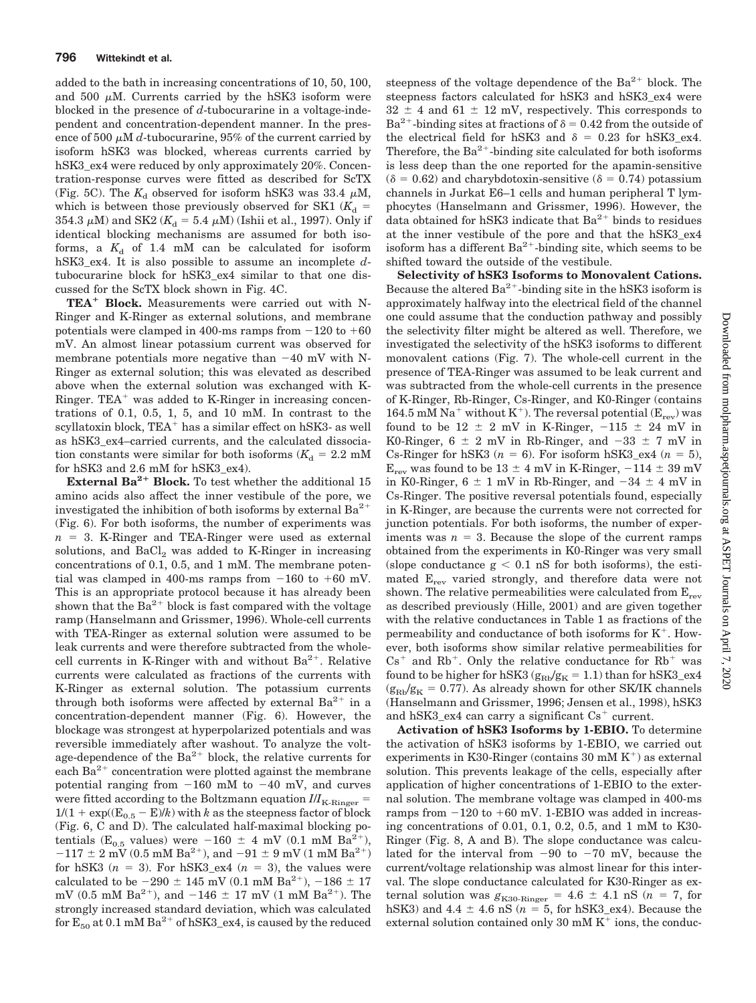added to the bath in increasing concentrations of 10, 50, 100, and 500  $\mu$ M. Currents carried by the hSK3 isoform were blocked in the presence of *d*-tubocurarine in a voltage-independent and concentration-dependent manner. In the presence of 500  $\mu$ M *d*-tubocurarine, 95% of the current carried by isoform hSK3 was blocked, whereas currents carried by hSK3\_ex4 were reduced by only approximately 20%. Concentration-response curves were fitted as described for ScTX (Fig. 5C). The  $K_d$  observed for isoform hSK3 was 33.4  $\mu$ M, which is between those previously observed for SK1 ( $K_{\rm d}$  =  $354.3 \mu M$ ) and SK2 ( $K_d = 5.4 \mu M$ ) (Ishii et al., 1997). Only if identical blocking mechanisms are assumed for both isoforms, a  $K_d$  of 1.4 mM can be calculated for isoform hSK3\_ex4. It is also possible to assume an incomplete *d*tubocurarine block for hSK3\_ex4 similar to that one discussed for the ScTX block shown in Fig. 4C.

TEA<sup>+</sup> Block. Measurements were carried out with N-Ringer and K-Ringer as external solutions, and membrane potentials were clamped in 400-ms ramps from  $-120$  to  $+60$ mV. An almost linear potassium current was observed for membrane potentials more negative than  $-40$  mV with N-Ringer as external solution; this was elevated as described above when the external solution was exchanged with K-Ringer.  $TEA<sup>+</sup>$  was added to K-Ringer in increasing concentrations of 0.1, 0.5, 1, 5, and 10 mM. In contrast to the scyllatoxin block,  $TEA<sup>+</sup>$  has a similar effect on hSK3- as well as hSK3\_ex4–carried currents, and the calculated dissociation constants were similar for both isoforms ( $K_d = 2.2$  mM for hSK3 and 2.6 mM for hSK3\_ex4).

**External Ba<sup>2+</sup> Block.** To test whether the additional 15 amino acids also affect the inner vestibule of the pore, we investigated the inhibition of both isoforms by external  $Ba^{2+}$ (Fig. 6). For both isoforms, the number of experiments was  $n = 3$ . K-Ringer and TEA-Ringer were used as external solutions, and  $BaCl<sub>2</sub>$  was added to K-Ringer in increasing concentrations of 0.1, 0.5, and 1 mM. The membrane potential was clamped in 400-ms ramps from  $-160$  to  $+60$  mV. This is an appropriate protocol because it has already been shown that the  $Ba^{2+}$  block is fast compared with the voltage ramp (Hanselmann and Grissmer, 1996). Whole-cell currents with TEA-Ringer as external solution were assumed to be leak currents and were therefore subtracted from the wholecell currents in K-Ringer with and without  $Ba^{2+}$ . Relative currents were calculated as fractions of the currents with K-Ringer as external solution. The potassium currents through both isoforms were affected by external  $Ba^{2+}$  in a concentration-dependent manner (Fig. 6). However, the blockage was strongest at hyperpolarized potentials and was reversible immediately after washout. To analyze the voltage-dependence of the  $Ba^{2+}$  block, the relative currents for each  $Ba^{2+}$  concentration were plotted against the membrane potential ranging from  $-160$  mM to  $-40$  mV, and curves were fitted according to the Boltzmann equation  $I\!/I_{\rm K\text{-}Ringer} =$  $1/(1 + \exp((E_{0.5} - E)/k)$  with *k* as the steepness factor of block (Fig. 6, C and D). The calculated half-maximal blocking potentials ( $E_{0.5}$  values) were -160  $\pm$  4 mV (0.1 mM Ba<sup>2</sup>)  $-117 \pm 2$  mV (0.5 mM Ba<sup>2+</sup>), and  $-91 \pm 9$  mV (1 mM Ba<sup>2+)</sup> for hSK3  $(n = 3)$ . For hSK3\_ex4  $(n = 3)$ , the values were calculated to be  $-290 \pm 145$  mV (0.1 mM Ba<sup>2+</sup>),  $-186 \pm 17$ mV (0.5 mM Ba<sup>2+</sup>), and  $-146 \pm 17$  mV (1 mM Ba<sup>2+</sup>). The strongly increased standard deviation, which was calculated for  $E_{50}$  at 0.1 mM Ba<sup>2+</sup> of hSK3\_ex4, is caused by the reduced

steepness of the voltage dependence of the  $Ba^{2+}$  block. The steepness factors calculated for hSK3 and hSK3\_ex4 were  $32 \pm 4$  and  $61 \pm 12$  mV, respectively. This corresponds to Ba<sup>2+</sup>-binding sites at fractions of  $\delta = 0.42$  from the outside of the electrical field for hSK3 and  $\delta = 0.23$  for hSK3\_ex4. Therefore, the  $Ba^{2+}$ -binding site calculated for both isoforms is less deep than the one reported for the apamin-sensitive  $(\delta = 0.62)$  and charybdotoxin-sensitive ( $\delta = 0.74$ ) potassium channels in Jurkat E6–1 cells and human peripheral T lymphocytes (Hanselmann and Grissmer, 1996). However, the data obtained for hSK3 indicate that  $Ba^{2+}$  binds to residues at the inner vestibule of the pore and that the hSK3\_ex4 isoform has a different  $Ba^{2+}$ -binding site, which seems to be shifted toward the outside of the vestibule.

**Selectivity of hSK3 Isoforms to Monovalent Cations.** Because the altered  $Ba^{2+}$ -binding site in the hSK3 isoform is approximately halfway into the electrical field of the channel one could assume that the conduction pathway and possibly the selectivity filter might be altered as well. Therefore, we investigated the selectivity of the hSK3 isoforms to different monovalent cations (Fig. 7). The whole-cell current in the presence of TEA-Ringer was assumed to be leak current and was subtracted from the whole-cell currents in the presence of K-Ringer, Rb-Ringer, Cs-Ringer, and K0-Ringer (contains 164.5 mM Na<sup>+</sup> without K<sup>+</sup>). The reversal potential ( $E_{rev}$ ) was found to be  $12 \pm 2$  mV in K-Ringer,  $-115 \pm 24$  mV in K0-Ringer,  $6 \pm 2$  mV in Rb-Ringer, and  $-33 \pm 7$  mV in Cs-Ringer for hSK3  $(n = 6)$ . For isoform hSK3\_ex4  $(n = 5)$ ,  $E_{\text{rev}}$  was found to be 13  $\pm$  4 mV in K-Ringer,  $-114 \pm 39$  mV in K0-Ringer,  $6 \pm 1$  mV in Rb-Ringer, and  $-34 \pm 4$  mV in Cs-Ringer. The positive reversal potentials found, especially in K-Ringer, are because the currents were not corrected for junction potentials. For both isoforms, the number of exper $i$  iments was  $n = 3$ . Because the slope of the current ramps obtained from the experiments in K0-Ringer was very small (slope conductance  $g < 0.1$  nS for both isoforms), the estimated  $E_{rev}$  varied strongly, and therefore data were not shown. The relative permeabilities were calculated from  $E_{rev}$ as described previously (Hille, 2001) and are given together with the relative conductances in Table 1 as fractions of the permeability and conductance of both isoforms for  $K^+$ . However, both isoforms show similar relative permeabilities for  $Cs<sup>+</sup>$  and Rb<sup>+</sup>. Only the relative conductance for Rb<sup>+</sup> was found to be higher for hSK3 ( $g_{\text{Rb}}/g_K = 1.1$ ) than for hSK3\_ex4  $(g_{\text{Rb}}/g_{\text{K}} = 0.77)$ . As already shown for other SK/IK channels (Hanselmann and Grissmer, 1996; Jensen et al., 1998), hSK3 and hSK3\_ex4 can carry a significant  $Cs<sup>+</sup>$  current.

**Activation of hSK3 Isoforms by 1-EBIO.** To determine the activation of hSK3 isoforms by 1-EBIO, we carried out experiments in K30-Ringer (contains  $30 \text{ mM K}^+$ ) as external solution. This prevents leakage of the cells, especially after application of higher concentrations of 1-EBIO to the external solution. The membrane voltage was clamped in 400-ms ramps from  $-120$  to  $+60$  mV. 1-EBIO was added in increasing concentrations of 0.01, 0.1, 0.2, 0.5, and 1 mM to K30- Ringer (Fig. 8, A and B). The slope conductance was calculated for the interval from  $-90$  to  $-70$  mV, because the current/voltage relationship was almost linear for this interval. The slope conductance calculated for K30-Ringer as external solution was  $g_{K30\text{-Ringer}} = 4.6 \pm 4.1 \text{ nS}$  ( $n = 7$ , for hSK3) and  $4.4 \pm 4.6$  nS ( $n = 5$ , for hSK3\_ex4). Because the external solution contained only 30 mM  $K^+$  ions, the conduc-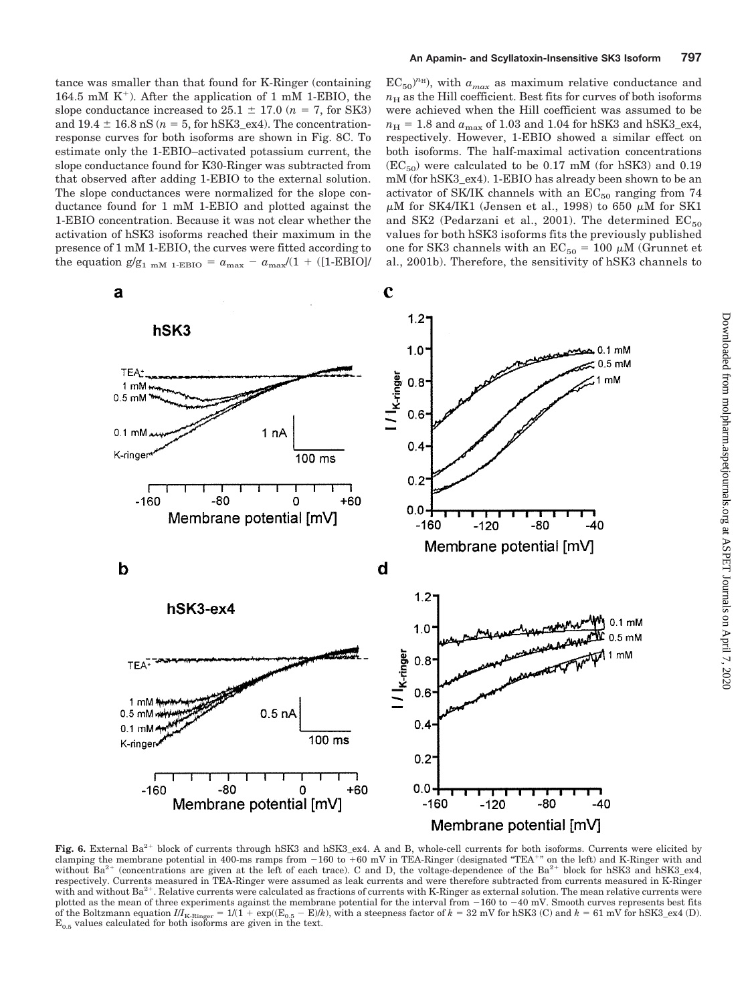$EC_{50}$ <sup>nH</sup>), with  $a_{max}$  as maximum relative conductance and  $n<sub>H</sub>$  as the Hill coefficient. Best fits for curves of both isoforms were achieved when the Hill coefficient was assumed to be  $n_{\rm H}$  = 1.8 and  $a_{\rm max}$  of 1.03 and 1.04 for hSK3 and hSK3\_ex4, respectively. However, 1-EBIO showed a similar effect on both isoforms. The half-maximal activation concentrations  $(EC_{50})$  were calculated to be 0.17 mM (for hSK3) and 0.19 mM (for hSK3\_ex4). 1-EBIO has already been shown to be an activator of SK/IK channels with an  $EC_{50}$  ranging from 74  $\mu$ M for SK4/IK1 (Jensen et al., 1998) to 650  $\mu$ M for SK1 and SK2 (Pedarzani et al., 2001). The determined  $EC_{50}$ values for both hSK3 isoforms fits the previously published one for SK3 channels with an  $EC_{50} = 100 \mu M$  (Grunnet et al., 2001b). Therefore, the sensitivity of hSK3 channels to

tance was smaller than that found for K-Ringer (containing 164.5 mM  $K^+$ ). After the application of 1 mM 1-EBIO, the slope conductance increased to  $25.1 \pm 17.0$  ( $n = 7$ , for SK3) and  $19.4 \pm 16.8$  nS ( $n = 5$ , for hSK3\_ex4). The concentrationresponse curves for both isoforms are shown in Fig. 8C. To estimate only the 1-EBIO–activated potassium current, the slope conductance found for K30-Ringer was subtracted from that observed after adding 1-EBIO to the external solution. The slope conductances were normalized for the slope conductance found for 1 mM 1-EBIO and plotted against the 1-EBIO concentration. Because it was not clear whether the activation of hSK3 isoforms reached their maximum in the presence of 1 mM 1-EBIO, the curves were fitted according to the equation  $g/g_{1\text{ mM 1-EBIO}} = a_{\text{max}} - a_{\text{max}}/(1 + (1-\text{EBIO})/2)$ 



Fig. 6. External Ba<sup>2+</sup> block of currents through hSK3 and hSK3 ex4. A and B, whole-cell currents for both isoforms. Currents were elicited by clamping the membrane potential in 400-ms ramps from 160 to 60 mV in TEA-Ringer (designated "TEA" on the left) and K-Ringer with and without Ba<sup>2+</sup> (concentrations are given at the left of each trace). C and D, the voltage-dependence of the Ba<sup>2+</sup> block for hSK3 and hSK3\_ex4, respectively. Currents measured in TEA-Ringer were assumed as leak currents and were therefore subtracted from currents measured in K-Ringer with and without  $Ba^{2+}$ . Relative currents were calculated as fractions of currents with K-Ringer as external solution. The mean relative currents were plotted as the mean of three experiments against the membrane potential for the interval from  $-160$  to  $-40$  mV. Smooth curves represents best fits of the Boltzmann equation  $II_{K\text{-Ringer}} = 1/(1 + \exp((E_{0.5} - E)/k)$ , with a steepness factor of  $k = 32$  mV for hSK3 (C) and  $k = 61$  mV for hSK3\_ex4 (D).  $E_{0.5}$  values calculated for both isoforms are given in the text.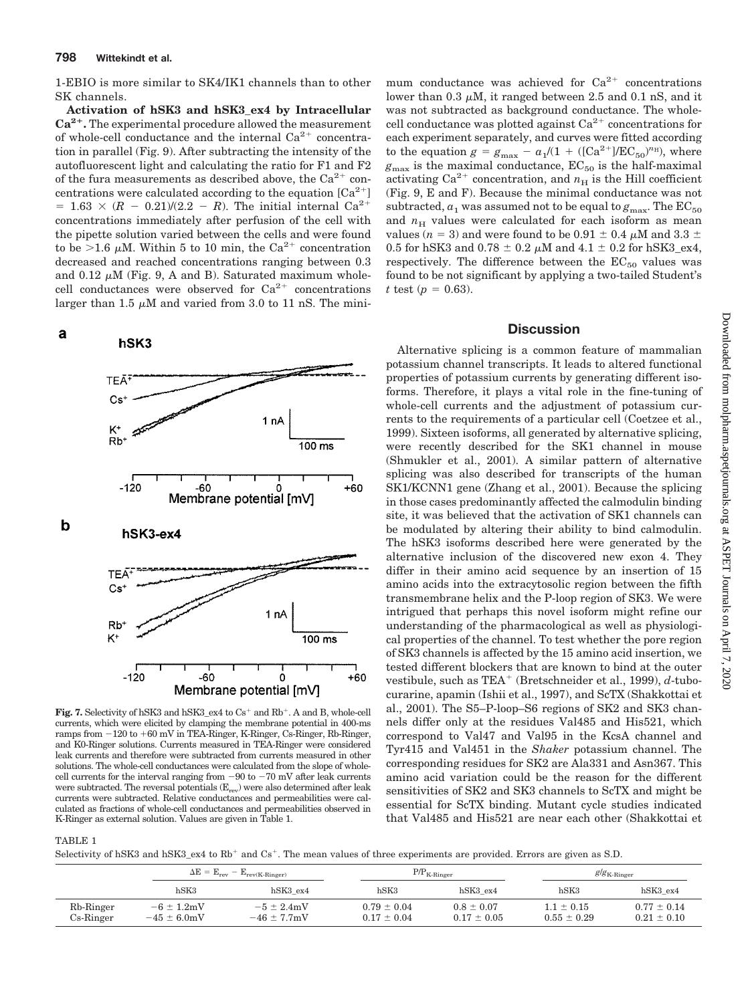1-EBIO is more similar to SK4/IK1 channels than to other SK channels.

**Activation of hSK3 and hSK3\_ex4 by Intracellular Ca2.** The experimental procedure allowed the measurement of whole-cell conductance and the internal  $Ca^{2+}$  concentration in parallel (Fig. 9). After subtracting the intensity of the autofluorescent light and calculating the ratio for F1 and F2 of the fura measurements as described above, the  $Ca^{2+}$  concentrations were calculated according to the equation  $[Ca^{2+}]$  $= 1.63 \times (R - 0.21)/(2.2 - R)$ . The initial internal Ca<sup>2+</sup> concentrations immediately after perfusion of the cell with the pipette solution varied between the cells and were found to be  $>1.6 \mu M$ . Within 5 to 10 min, the Ca<sup>2+</sup> concentration decreased and reached concentrations ranging between 0.3 and 0.12  $\mu$ M (Fig. 9, A and B). Saturated maximum wholecell conductances were observed for  $Ca^{2+}$  concentrations larger than 1.5  $\mu$ M and varied from 3.0 to 11 nS. The mini-



**Fig. 7.** Selectivity of hSK3 and hSK3\_ex4 to  $Cs<sup>+</sup>$  and  $Rb<sup>+</sup>$ . A and B, whole-cell currents, which were elicited by clamping the membrane potential in 400-ms ramps from  $-120$  to  $+60$  mV in TEA-Ringer, K-Ringer, Cs-Ringer, Rb-Ringer, and K0-Ringer solutions. Currents measured in TEA-Ringer were considered leak currents and therefore were subtracted from currents measured in other solutions. The whole-cell conductances were calculated from the slope of wholecell currents for the interval ranging from  $-90$  to  $-70$  mV after leak currents were subtracted. The reversal potentials  $(E_{rev})$  were also determined after leak currents were subtracted. Relative conductances and permeabilities were calculated as fractions of whole-cell conductances and permeabilities observed in K-Ringer as external solution. Values are given in Table 1.

mum conductance was achieved for  $Ca^{2+}$  concentrations lower than  $0.3 \mu M$ , it ranged between 2.5 and  $0.1 \text{ nS}$ , and it was not subtracted as background conductance. The wholecell conductance was plotted against  $Ca^{2+}$  concentrations for each experiment separately, and curves were fitted according to the equation  $g = g_{\text{max}} - a_1/(1 + ([Ca^{2+}]/EC_{50})^{n_{\text{H}}})$ , where  $g_{\text{max}}$  is the maximal conductance,  $EC_{50}$  is the half-maximal activating  $Ca^{2+}$  concentration, and  $n_H$  is the Hill coefficient (Fig. 9, E and F). Because the minimal conductance was not subtracted,  $a_1$  was assumed not to be equal to  $g_{\text{max}}$ . The  $EC_{50}$ and  $n<sub>H</sub>$  values were calculated for each isoform as mean values ( $n=3$ ) and were found to be 0.91  $\pm$  0.4  $\mu{\rm M}$  and 3.3  $\pm$ 0.5 for hSK3 and 0.78  $\pm$  0.2  $\mu$ M and 4.1  $\pm$  0.2 for hSK3\_ex4, respectively. The difference between the  $EC_{50}$  values was found to be not significant by applying a two-tailed Student's *t* test ( $p = 0.63$ ).

#### **Discussion**

Alternative splicing is a common feature of mammalian potassium channel transcripts. It leads to altered functional properties of potassium currents by generating different isoforms. Therefore, it plays a vital role in the fine-tuning of whole-cell currents and the adjustment of potassium currents to the requirements of a particular cell (Coetzee et al., 1999). Sixteen isoforms, all generated by alternative splicing, were recently described for the SK1 channel in mouse (Shmukler et al., 2001). A similar pattern of alternative splicing was also described for transcripts of the human SK1/KCNN1 gene (Zhang et al., 2001). Because the splicing in those cases predominantly affected the calmodulin binding site, it was believed that the activation of SK1 channels can be modulated by altering their ability to bind calmodulin. The hSK3 isoforms described here were generated by the alternative inclusion of the discovered new exon 4. They differ in their amino acid sequence by an insertion of 15 amino acids into the extracytosolic region between the fifth transmembrane helix and the P-loop region of SK3. We were intrigued that perhaps this novel isoform might refine our understanding of the pharmacological as well as physiological properties of the channel. To test whether the pore region of SK3 channels is affected by the 15 amino acid insertion, we tested different blockers that are known to bind at the outer vestibule, such as TEA<sup>+</sup> (Bretschneider et al., 1999), *d*-tubocurarine, apamin (Ishii et al., 1997), and ScTX (Shakkottai et al., 2001). The S5–P-loop–S6 regions of SK2 and SK3 channels differ only at the residues Val485 and His521, which correspond to Val47 and Val95 in the KcsA channel and Tyr415 and Val451 in the *Shaker* potassium channel. The corresponding residues for SK2 are Ala331 and Asn367. This amino acid variation could be the reason for the different sensitivities of SK2 and SK3 channels to ScTX and might be essential for ScTX binding. Mutant cycle studies indicated that Val485 and His521 are near each other (Shakkottai et

Selectivity of hSK3 and hSK3\_ex4 to Rb<sup>+</sup> and Cs<sup>+</sup>. The mean values of three experiments are provided. Errors are given as S.D.

|                           | $\Delta E = E_{rev} - E_{rev(K\text{-Ringer})}$ |                                     |                                    | $P/P_{K-Ringer}$                  |                                   | $g/g_{\text{K-Ringer}}$            |  |
|---------------------------|-------------------------------------------------|-------------------------------------|------------------------------------|-----------------------------------|-----------------------------------|------------------------------------|--|
|                           | $h$ SK3                                         | $h$ SK3 ex4                         | $h$ SK3                            | hSK3ex4                           | $h$ SK3                           | hSK3ex4                            |  |
| Rb-Ringer<br>$Cs$ -Ringer | $-6 \pm 1.2$ mV<br>$-45 \pm 6.0$ mV             | $-5 \pm 2.4$ mV<br>$-46 \pm 7.7$ mV | $0.79 \pm 0.04$<br>$0.17 \pm 0.04$ | $0.8 \pm 0.07$<br>$0.17 \pm 0.05$ | $1.1 \pm 0.15$<br>$0.55 \pm 0.29$ | $0.77 \pm 0.14$<br>$0.21 \pm 0.10$ |  |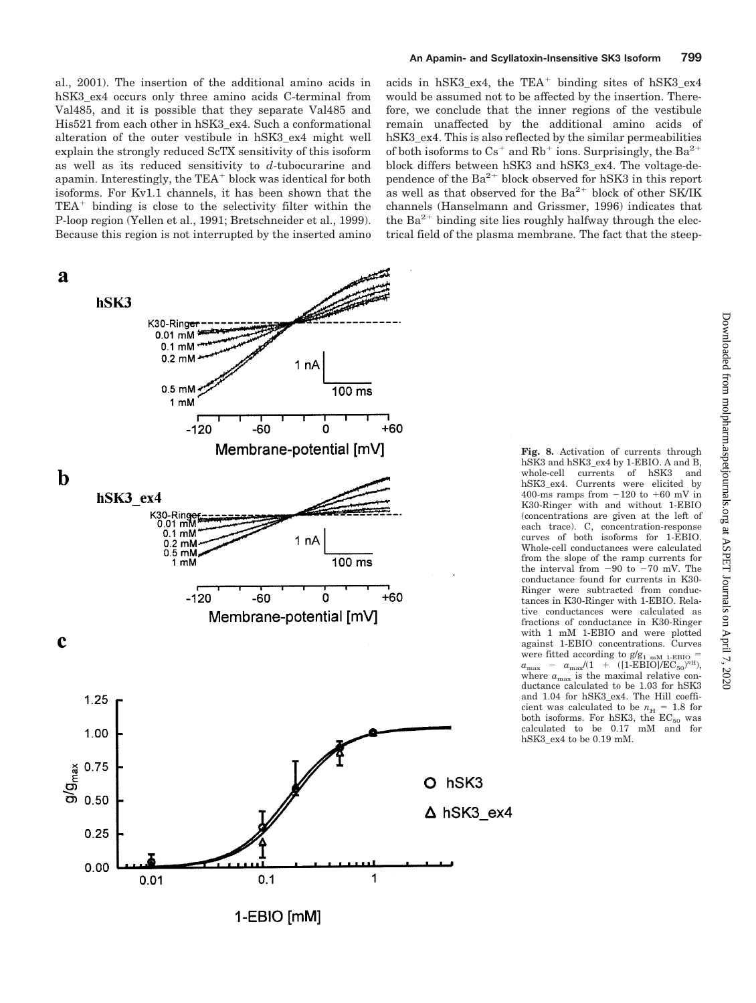al., 2001). The insertion of the additional amino acids in hSK3 ex4 occurs only three amino acids C-terminal from Val485, and it is possible that they separate Val485 and His521 from each other in hSK3\_ex4. Such a conformational alteration of the outer vestibule in hSK3\_ex4 might well explain the strongly reduced ScTX sensitivity of this isoform as well as its reduced sensitivity to *d*-tubocurarine and apamin. Interestingly, the  $TEA<sup>+</sup>$  block was identical for both isoforms. For Kv1.1 channels, it has been shown that the  $TEA<sup>+</sup>$  binding is close to the selectivity filter within the P-loop region (Yellen et al., 1991; Bretschneider et al., 1999). Because this region is not interrupted by the inserted amino





acids in hSK3\_ex4, the  $TEA<sup>+</sup>$  binding sites of hSK3\_ex4 would be assumed not to be affected by the insertion. Therefore, we conclude that the inner regions of the vestibule remain unaffected by the additional amino acids of hSK3\_ex4. This is also reflected by the similar permeabilities of both isoforms to  $Cs^+$  and Rb<sup>+</sup> ions. Surprisingly, the Ba<sup>2+</sup> block differs between hSK3 and hSK3\_ex4. The voltage-dependence of the  $Ba^{2+}$  block observed for hSK3 in this report as well as that observed for the  $Ba^{2+}$  block of other SK/IK channels (Hanselmann and Grissmer, 1996) indicates that the  $Ba^{2+}$  binding site lies roughly halfway through the electrical field of the plasma membrane. The fact that the steep-

> **Fig. 8.** Activation of currents through hSK3 and hSK3\_ex4 by 1-EBIO. A and B,<br>whole-cell currents of hSK3 and currents of hSK3 and hSK3\_ex4. Currents were elicited by 400-ms ramps from  $-120$  to  $+60$  mV in K30-Ringer with and without 1-EBIO (concentrations are given at the left of each trace). C, concentration-response curves of both isoforms for 1-EBIO. Whole-cell conductances were calculated from the slope of the ramp currents for the interval from  $-90$  to  $-70$  mV. The conductance found for currents in K30- Ringer were subtracted from conductances in K30-Ringer with 1-EBIO. Relative conductances were calculated as fractions of conductance in K30-Ringer with 1 mM 1-EBIO and were plotted against 1-EBIO concentrations. Curves were fitted according to  $g/g_{1 mM 1-EBO}$  =  $a_{\text{max}}$  –  $a_{\text{max}}/(1 + ((1 - \text{EBIO})/\text{EC}_{50})^{n_{\text{H}}}),$  $a_{\text{max}} - a_{\text{max}}/(1 + (11 - \text{EBIO})/\text{EC}_{50})^{\text{on}})$ ,<br>where  $a_{\text{max}}$  is the maximal relative conductance calculated to be 1.03 for hSK3 and 1.04 for hSK3\_ex4. The Hill coefficient was calculated to be  $n_{\rm H}$  = 1.8 for both isoforms. For hSK3, the  $EC_{50}$  was<br>calculated to be  $0.17$  mM and for hSK3\_ex4 to be 0.19 mM.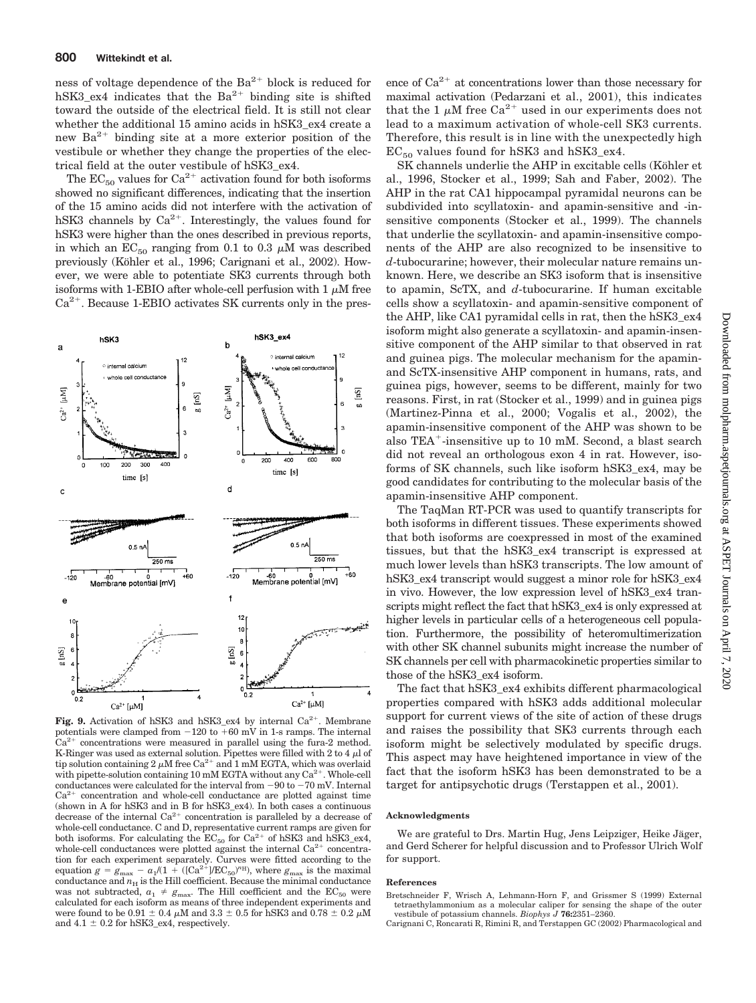ness of voltage dependence of the  $Ba^{2+}$  block is reduced for hSK3 ex4 indicates that the  $Ba^{2+}$  binding site is shifted toward the outside of the electrical field. It is still not clear whether the additional 15 amino acids in hSK3\_ex4 create a new  $Ba^{2+}$  binding site at a more exterior position of the vestibule or whether they change the properties of the electrical field at the outer vestibule of hSK3\_ex4.

The  $EC_{50}$  values for  $Ca^{2+}$  activation found for both isoforms showed no significant differences, indicating that the insertion of the 15 amino acids did not interfere with the activation of hSK3 channels by  $Ca^{2+}$ . Interestingly, the values found for hSK3 were higher than the ones described in previous reports, in which an  $EC_{50}$  ranging from 0.1 to 0.3  $\mu$ M was described previously (Köhler et al., 1996; Carignani et al., 2002). However, we were able to potentiate SK3 currents through both isoforms with 1-EBIO after whole-cell perfusion with 1  $\mu$ M free  $Ca<sup>2+</sup>$ . Because 1-EBIO activates SK currents only in the pres-



**Fig. 9.** Activation of hSK3 and hSK3 ex4 by internal  $Ca^{2+}$ . Membrane potentials were clamped from  $-120$  to  $+60$  mV in 1-s ramps. The internal  $Ca<sup>2+</sup>$  concentrations were measured in parallel using the fura-2 method. K-Ringer was used as external solution. Pipettes were filled with 2 to 4  $\mu$ l of tip solution containing 2  $\mu$ M free Ca<sup>2+</sup> and 1 mM EGTA, which was overlaid with pipette-solution containing 10 mM EGTA without any  $Ca^{2+}$ . Whole-cell conductances were calculated for the interval from  $-90$  to  $-70$  mV. Internal  $Ca<sup>2+</sup>$  concentration and whole-cell conductance are plotted against time (shown in A for hSK3 and in B for hSK3\_ex4). In both cases a continuous decrease of the internal  $Ca^{2+}$  concentration is paralleled by a decrease of whole-cell conductance. C and D, representative current ramps are given for both isoforms. For calculating the  $EC_{50}$  for  $Ca^{2+}$  of hSK3 and hSK3\_ex4, whole-cell conductances were plotted against the internal  $Ca^{2+}$  concentration for each experiment separately. Curves were fitted according to the equation  $g = g_{\text{max}} - a_1/(1 + ((Ca^{2+})/EC_{50})^{nH})$ , where  $g_{\text{max}}$  is the maximal conductance and  $n_{\rm H}$  is the Hill coefficient. Because the minimal conductance was not subtracted,  $a_1 \neq g_{\text{max}}$ . The Hill coefficient and the EC<sub>50</sub> were calculated for each isoform as means of three independent experiments and were found to be  $0.91 \pm 0.4 \mu$ M and  $3.3 \pm 0.5$  for hSK3 and  $0.78 \pm 0.2 \mu$ M and  $4.1 \pm 0.2$  for hSK3\_ex4, respectively.

ence of  $Ca^{2+}$  at concentrations lower than those necessary for maximal activation (Pedarzani et al., 2001), this indicates that the 1  $\mu$ M free Ca<sup>2+</sup> used in our experiments does not lead to a maximum activation of whole-cell SK3 currents. Therefore, this result is in line with the unexpectedly high  $EC_{50}$  values found for hSK3 and hSK3\_ex4.

SK channels underlie the AHP in excitable cells (Köhler et al., 1996, Stocker et al., 1999; Sah and Faber, 2002). The AHP in the rat CA1 hippocampal pyramidal neurons can be subdivided into scyllatoxin- and apamin-sensitive and -insensitive components (Stocker et al., 1999). The channels that underlie the scyllatoxin- and apamin-insensitive components of the AHP are also recognized to be insensitive to *d*-tubocurarine; however, their molecular nature remains unknown. Here, we describe an SK3 isoform that is insensitive to apamin, ScTX, and *d*-tubocurarine. If human excitable cells show a scyllatoxin- and apamin-sensitive component of the AHP, like CA1 pyramidal cells in rat, then the hSK3\_ex4 isoform might also generate a scyllatoxin- and apamin-insensitive component of the AHP similar to that observed in rat and guinea pigs. The molecular mechanism for the apaminand ScTX-insensitive AHP component in humans, rats, and guinea pigs, however, seems to be different, mainly for two reasons. First, in rat (Stocker et al., 1999) and in guinea pigs (Martinez-Pinna et al., 2000; Vogalis et al., 2002), the apamin-insensitive component of the AHP was shown to be also TEA-insensitive up to 10 mM. Second, a blast search did not reveal an orthologous exon 4 in rat. However, isoforms of SK channels, such like isoform hSK3\_ex4, may be good candidates for contributing to the molecular basis of the apamin-insensitive AHP component.

The TaqMan RT-PCR was used to quantify transcripts for both isoforms in different tissues. These experiments showed that both isoforms are coexpressed in most of the examined tissues, but that the hSK3\_ex4 transcript is expressed at much lower levels than hSK3 transcripts. The low amount of hSK3\_ex4 transcript would suggest a minor role for hSK3\_ex4 in vivo. However, the low expression level of hSK3\_ex4 transcripts might reflect the fact that hSK3 ex4 is only expressed at higher levels in particular cells of a heterogeneous cell population. Furthermore, the possibility of heteromultimerization with other SK channel subunits might increase the number of SK channels per cell with pharmacokinetic properties similar to those of the hSK3\_ex4 isoform.

The fact that hSK3\_ex4 exhibits different pharmacological properties compared with hSK3 adds additional molecular support for current views of the site of action of these drugs and raises the possibility that SK3 currents through each isoform might be selectively modulated by specific drugs. This aspect may have heightened importance in view of the fact that the isoform hSK3 has been demonstrated to be a target for antipsychotic drugs (Terstappen et al., 2001).

#### **Acknowledgments**

We are grateful to Drs. Martin Hug, Jens Leipziger, Heike Jäger, and Gerd Scherer for helpful discussion and to Professor Ulrich Wolf for support.

#### **References**

Bretschneider F, Wrisch A, Lehmann-Horn F, and Grissmer S (1999) External tetraethylammonium as a molecular caliper for sensing the shape of the outer vestibule of potassium channels. *Biophys J* **76:**2351–2360.

Carignani C, Roncarati R, Rimini R, and Terstappen GC (2002) Pharmacological and